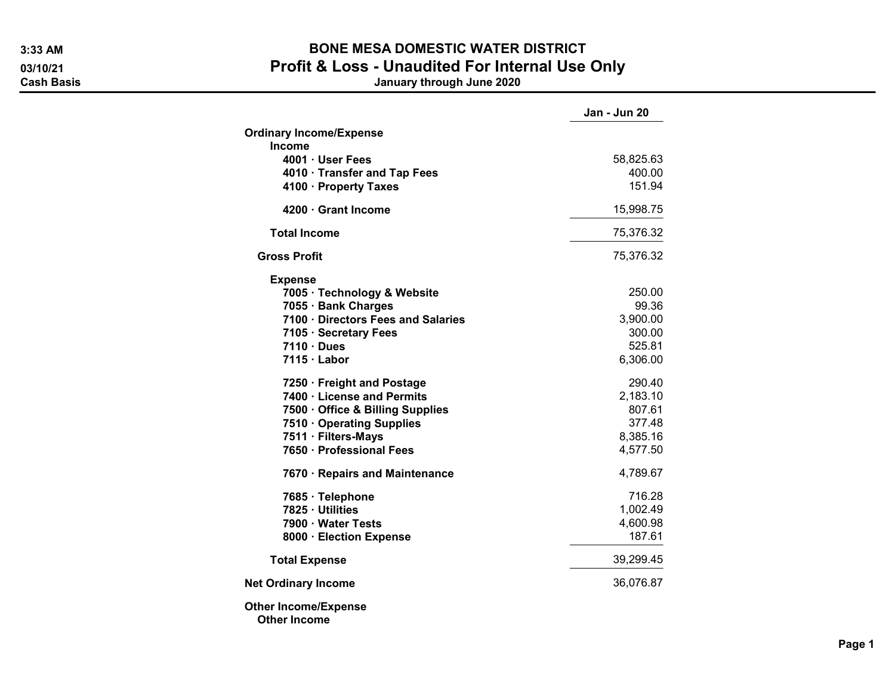## 3:33 AM BONE MESA DOMESTIC WATER DISTRICT 03/10/21 03/10/21 Profit & Loss - Unaudited For Internal Use Only<br>Cash Basis danuary through June 2020

January through June 2020

|                                                    | Jan - Jun 20        |
|----------------------------------------------------|---------------------|
| <b>Ordinary Income/Expense</b>                     |                     |
| Income                                             |                     |
| 4001 · User Fees<br>4010 · Transfer and Tap Fees   | 58,825.63<br>400.00 |
| 4100 · Property Taxes                              | 151.94              |
| 4200 Grant Income                                  | 15,998.75           |
| <b>Total Income</b>                                | 75,376.32           |
| <b>Gross Profit</b>                                | 75,376.32           |
| <b>Expense</b>                                     |                     |
| 7005 · Technology & Website                        | 250.00              |
| 7055 · Bank Charges                                | 99.36               |
| 7100 · Directors Fees and Salaries                 | 3,900.00            |
| 7105 · Secretary Fees                              | 300.00              |
| $7110 \cdot Dues$                                  | 525.81              |
| $7115 \cdot$ Labor                                 | 6,306.00            |
| 7250 · Freight and Postage                         | 290.40              |
| 7400 · License and Permits                         | 2,183.10            |
| 7500 · Office & Billing Supplies                   | 807.61              |
| 7510 Operating Supplies                            | 377.48              |
| 7511 · Filters-Mays                                | 8,385.16            |
| 7650 · Professional Fees                           | 4,577.50            |
| 7670 · Repairs and Maintenance                     | 4,789.67            |
| 7685 · Telephone                                   | 716.28              |
| 7825 · Utilities                                   | 1,002.49            |
| 7900 · Water Tests                                 | 4,600.98            |
| 8000 · Election Expense                            | 187.61              |
| <b>Total Expense</b>                               | 39,299.45           |
| <b>Net Ordinary Income</b>                         | 36,076.87           |
| <b>Other Income/Expense</b><br><b>Other Income</b> |                     |